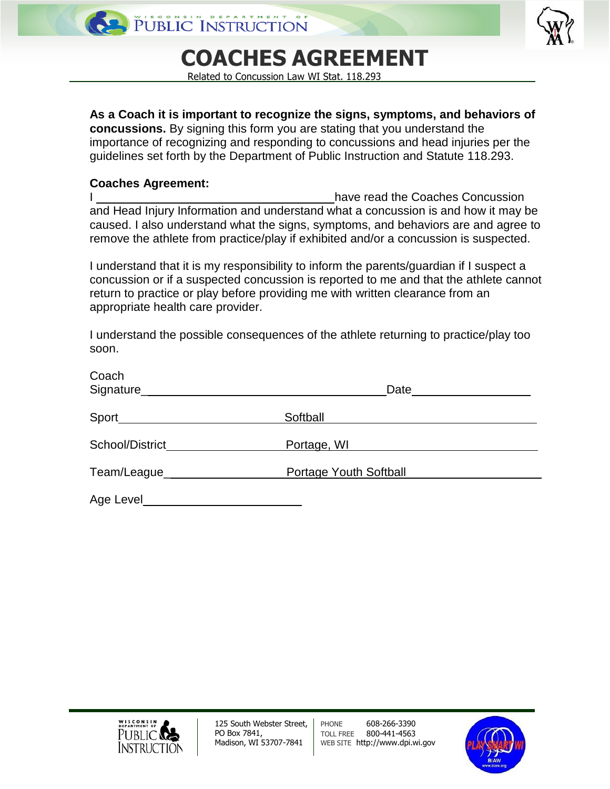## **COACHES AGREEMENT**

Related to Concussion Law WI Stat. 118.293

**As a Coach it is important to recognize the signs, symptoms, and behaviors of concussions.** By signing this form you are stating that you understand the importance of recognizing and responding to concussions and head injuries per the guidelines set forth by the Department of Public Instruction and Statute 118.293.

## **Coaches Agreement:**

| have read the Coaches Concussion                                                     |  |
|--------------------------------------------------------------------------------------|--|
| and Head Injury Information and understand what a concussion is and how it may be    |  |
| caused. I also understand what the signs, symptoms, and behaviors are and agree to   |  |
| remove the athlete from practice/play if exhibited and/or a concussion is suspected. |  |

I understand that it is my responsibility to inform the parents/guardian if I suspect a concussion or if a suspected concussion is reported to me and that the athlete cannot return to practice or play before providing me with written clearance from an appropriate health care provider.

I understand the possible consequences of the athlete returning to practice/play too soon.

| Coach<br>Signature________________________________ | Date <u>_____________</u>     |
|----------------------------------------------------|-------------------------------|
| Sport________________________                      | Softball                      |
| School/District                                    | Portage, WI                   |
| Team/League________________                        | <b>Portage Youth Softball</b> |
| Age Level                                          |                               |